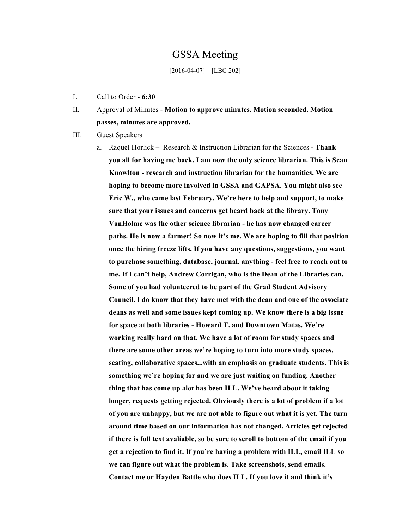# GSSA Meeting

#### [2016-04-07] – [LBC 202]

- I. Call to Order **6:30**
- II. Approval of Minutes **Motion to approve minutes. Motion seconded. Motion passes, minutes are approved.**
- III. Guest Speakers
	- a. Raquel Horlick Research & Instruction Librarian for the Sciences **Thank you all for having me back. I am now the only science librarian. This is Sean Knowlton - research and instruction librarian for the humanities. We are hoping to become more involved in GSSA and GAPSA. You might also see Eric W., who came last February. We're here to help and support, to make sure that your issues and concerns get heard back at the library. Tony VanHolme was the other science librarian - he has now changed career paths. He is now a farmer! So now it's me. We are hoping to fill that position once the hiring freeze lifts. If you have any questions, suggestions, you want to purchase something, database, journal, anything - feel free to reach out to me. If I can't help, Andrew Corrigan, who is the Dean of the Libraries can. Some of you had volunteered to be part of the Grad Student Advisory Council. I do know that they have met with the dean and one of the associate deans as well and some issues kept coming up. We know there is a big issue for space at both libraries - Howard T. and Downtown Matas. We're working really hard on that. We have a lot of room for study spaces and there are some other areas we're hoping to turn into more study spaces, seating, collaborative spaces...with an emphasis on graduate students. This is something we're hoping for and we are just waiting on funding. Another thing that has come up alot has been ILL. We've heard about it taking longer, requests getting rejected. Obviously there is a lot of problem if a lot of you are unhappy, but we are not able to figure out what it is yet. The turn around time based on our information has not changed. Articles get rejected if there is full text avaliable, so be sure to scroll to bottom of the email if you get a rejection to find it. If you're having a problem with ILL, email ILL so we can figure out what the problem is. Take screenshots, send emails. Contact me or Hayden Battle who does ILL. If you love it and think it's**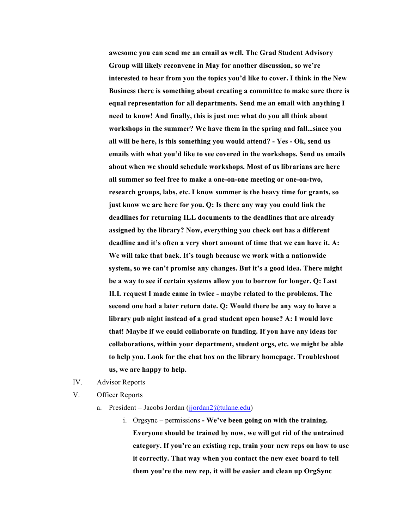**awesome you can send me an email as well. The Grad Student Advisory Group will likely reconvene in May for another discussion, so we're interested to hear from you the topics you'd like to cover. I think in the New Business there is something about creating a committee to make sure there is equal representation for all departments. Send me an email with anything I need to know! And finally, this is just me: what do you all think about workshops in the summer? We have them in the spring and fall...since you all will be here, is this something you would attend? - Yes - Ok, send us emails with what you'd like to see covered in the workshops. Send us emails about when we should schedule workshops. Most of us librarians are here all summer so feel free to make a one-on-one meeting or one-on-two, research groups, labs, etc. I know summer is the heavy time for grants, so just know we are here for you. Q: Is there any way you could link the deadlines for returning ILL documents to the deadlines that are already assigned by the library? Now, everything you check out has a different deadline and it's often a very short amount of time that we can have it. A: We will take that back. It's tough because we work with a nationwide system, so we can't promise any changes. But it's a good idea. There might be a way to see if certain systems allow you to borrow for longer. Q: Last ILL request I made came in twice - maybe related to the problems. The second one had a later return date. Q: Would there be any way to have a library pub night instead of a grad student open house? A: I would love that! Maybe if we could collaborate on funding. If you have any ideas for collaborations, within your department, student orgs, etc. we might be able to help you. Look for the chat box on the library homepage. Troubleshoot us, we are happy to help.**

- IV. Advisor Reports
- V. Officer Reports
	- a. President Jacobs Jordan (jjordan $2$ @tulane.edu)
		- i. Orgsync permissions **- We've been going on with the training. Everyone should be trained by now, we will get rid of the untrained category. If you're an existing rep, train your new reps on how to use it correctly. That way when you contact the new exec board to tell them you're the new rep, it will be easier and clean up OrgSync**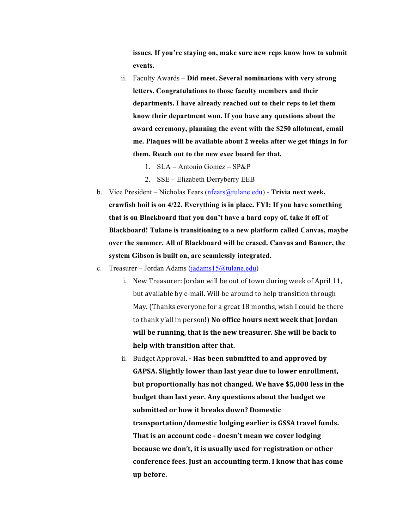**issues. If you're staying on, make sure new reps know how to submit events.**

- ii. Faculty Awards **Did meet. Several nominations with very strong letters. Congratulations to those faculty members and their departments. I have already reached out to their reps to let them know their department won. If you have any questions about the award ceremony, planning the event with the \$250 allotment, email me. Plaques will be available about 2 weeks after we get things in for them. Reach out to the new exec board for that.** 
	- 1. SLA Antonio Gomez SP&P
	- 2. SSE Elizabeth Derryberry EEB
- b. Vice President Nicholas Fears (nfears@tulane.edu) **Trivia next week, crawfish boil is on 4/22. Everything is in place. FYI: If you have something that is on Blackboard that you don't have a hard copy of, take it off of Blackboard! Tulane is transitioning to a new platform called Canvas, maybe over the summer. All of Blackboard will be erased. Canvas and Banner, the system Gibson is built on, are seamlessly integrated.**
- c. Treasurer Jordan Adams (jadams15@tulane.edu)
	- i. New Treasurer: Jordan will be out of town during week of April 11, but available by e-mail. Will be around to help transition through May. (Thanks everyone for a great 18 months, wish I could be there to thank y'all in person!) No office hours next week that Jordan will be running, that is the new treasurer. She will be back to **help** with transition after that.
	- ii. Budget Approval.  **Has been submitted to and approved by** GAPSA. Slightly lower than last year due to lower enrollment, **but proportionally has not changed. We have \$5,000 less in the budget than last year. Any questions about the budget we** submitted or how it breaks down? Domestic transportation/domestic lodging earlier is GSSA travel funds. That is an account code - doesn't mean we cover lodging **because** we don't, it is usually used for registration or other conference fees. Just an accounting term. I know that has come **up before.**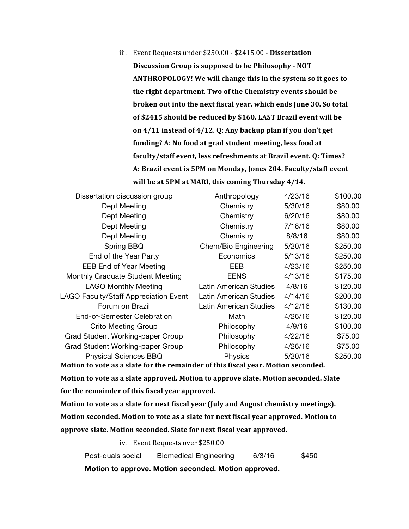iii. Event Requests under \$250.00 - \$2415.00 - Dissertation **Discussion Group is supposed to be Philosophy - NOT** ANTHROPOLOGY! We will change this in the system so it goes to the right department. Two of the Chemistry events should be **broken out into the next fiscal year, which ends June 30. So total** of \$2415 should be reduced by \$160. LAST Brazil event will be on 4/11 instead of 4/12. Q: Any backup plan if you don't get funding? A: No food at grad student meeting, less food at faculty/staff event, less refreshments at Brazil event. Q: Times? A: Brazil event is 5PM on Monday, Jones 204. Faculty/staff event will be at 5PM at MARI, this coming Thursday 4/14.

| Dissertation discussion group         | Anthropology                  | 4/23/16 | \$100.00 |
|---------------------------------------|-------------------------------|---------|----------|
| Dept Meeting                          | Chemistry                     | 5/30/16 | \$80.00  |
| Dept Meeting                          | Chemistry                     | 6/20/16 | \$80.00  |
| Dept Meeting                          | Chemistry                     | 7/18/16 | \$80.00  |
| Dept Meeting                          | Chemistry                     | 8/8/16  | \$80.00  |
| Spring BBQ                            | Chem/Bio Engineering          | 5/20/16 | \$250.00 |
| End of the Year Party                 | Economics                     | 5/13/16 | \$250.00 |
| <b>EEB End of Year Meeting</b>        | EEB                           | 4/23/16 | \$250.00 |
| Monthly Graduate Student Meeting      | <b>EENS</b>                   | 4/13/16 | \$175.00 |
| <b>LAGO Monthly Meeting</b>           | Latin American Studies        | 4/8/16  | \$120.00 |
| LAGO Faculty/Staff Appreciation Event | <b>Latin American Studies</b> | 4/14/16 | \$200.00 |
| Forum on Brazil                       | <b>Latin American Studies</b> | 4/12/16 | \$130.00 |
| End-of-Semester Celebration           | Math                          | 4/26/16 | \$120.00 |
| <b>Crito Meeting Group</b>            | Philosophy                    | 4/9/16  | \$100.00 |
| Grad Student Working-paper Group      | Philosophy                    | 4/22/16 | \$75.00  |
| Grad Student Working-paper Group      | Philosophy                    | 4/26/16 | \$75.00  |
| Physical Sciences BBQ                 | Physics                       | 5/20/16 | \$250.00 |
|                                       |                               |         |          |

Motion to vote as a slate for the remainder of this fiscal year. Motion seconded.

Motion to vote as a slate approved. Motion to approve slate. Motion seconded. Slate for the remainder of this fiscal year approved.

Motion to vote as a slate for next fiscal year (July and August chemistry meetings). **Motion seconded. Motion to vote as a slate for next fiscal year approved. Motion to** approve slate. Motion seconded. Slate for next fiscal year approved.

iv. Event Requests over \$250.00

Post-quals social Biomedical Engineering 6/3/16 \$450

**Motion to approve. Motion seconded. Motion approved.**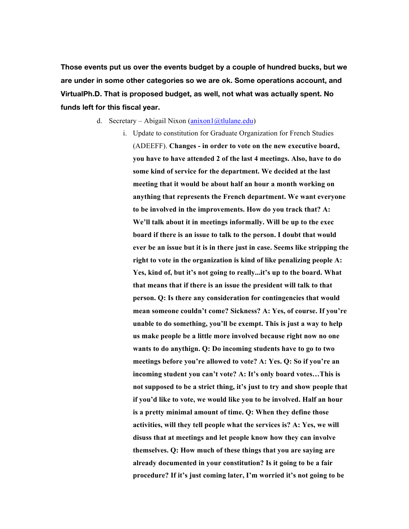**Those events put us over the events budget by a couple of hundred bucks, but we are under in some other categories so we are ok. Some operations account, and VirtualPh.D. That is proposed budget, as well, not what was actually spent. No funds left for this fiscal year.** 

- d. Secretary Abigail Nixon (anixon1@tlulane.edu)
	- i. Update to constitution for Graduate Organization for French Studies (ADEEFF). **Changes - in order to vote on the new executive board, you have to have attended 2 of the last 4 meetings. Also, have to do some kind of service for the department. We decided at the last meeting that it would be about half an hour a month working on anything that represents the French department. We want everyone to be involved in the improvements. How do you track that? A: We'll talk about it in meetings informally. Will be up to the exec board if there is an issue to talk to the person. I doubt that would ever be an issue but it is in there just in case. Seems like stripping the right to vote in the organization is kind of like penalizing people A: Yes, kind of, but it's not going to really...it's up to the board. What that means that if there is an issue the president will talk to that person. Q: Is there any consideration for contingencies that would mean someone couldn't come? Sickness? A: Yes, of course. If you're unable to do something, you'll be exempt. This is just a way to help us make people be a little more involved because right now no one wants to do anythign. Q: Do incoming students have to go to two meetings before you're allowed to vote? A: Yes. Q: So if you're an incoming student you can't vote? A: It's only board votes…This is not supposed to be a strict thing, it's just to try and show people that if you'd like to vote, we would like you to be involved. Half an hour is a pretty minimal amount of time. Q: When they define those activities, will they tell people what the services is? A: Yes, we will disuss that at meetings and let people know how they can involve themselves. Q: How much of these things that you are saying are already documented in your constitution? Is it going to be a fair procedure? If it's just coming later, I'm worried it's not going to be**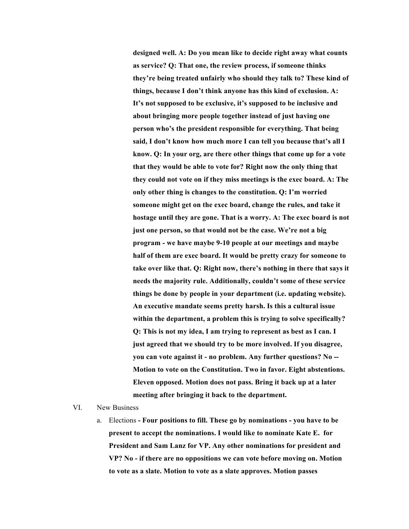**designed well. A: Do you mean like to decide right away what counts as service? Q: That one, the review process, if someone thinks they're being treated unfairly who should they talk to? These kind of things, because I don't think anyone has this kind of exclusion. A: It's not supposed to be exclusive, it's supposed to be inclusive and about bringing more people together instead of just having one person who's the president responsible for everything. That being said, I don't know how much more I can tell you because that's all I know. Q: In your org, are there other things that come up for a vote that they would be able to vote for? Right now the only thing that they could not vote on if they miss meetings is the exec board. A: The only other thing is changes to the constitution. Q: I'm worried someone might get on the exec board, change the rules, and take it hostage until they are gone. That is a worry. A: The exec board is not just one person, so that would not be the case. We're not a big program - we have maybe 9-10 people at our meetings and maybe half of them are exec board. It would be pretty crazy for someone to take over like that. Q: Right now, there's nothing in there that says it needs the majority rule. Additionally, couldn't some of these service things be done by people in your department (i.e. updating website). An executive mandate seems pretty harsh. Is this a cultural issue within the department, a problem this is trying to solve specifically? Q: This is not my idea, I am trying to represent as best as I can. I just agreed that we should try to be more involved. If you disagree, you can vote against it - no problem. Any further questions? No -- Motion to vote on the Constitution. Two in favor. Eight abstentions. Eleven opposed. Motion does not pass. Bring it back up at a later meeting after bringing it back to the department.** 

#### VI. New Business

a. Elections **- Four positions to fill. These go by nominations - you have to be present to accept the nominations. I would like to nominate Kate E. for President and Sam Lanz for VP. Any other nominations for president and VP? No - if there are no oppositions we can vote before moving on. Motion to vote as a slate. Motion to vote as a slate approves. Motion passes**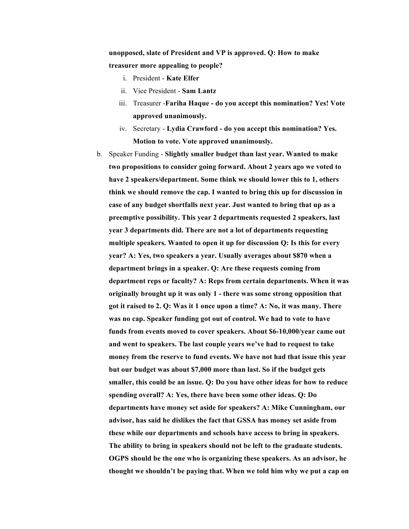**unopposed, slate of President and VP is approved. Q: How to make treasurer more appealing to people?** 

- i. President **Kate Elfer**
- ii. Vice President **Sam Lantz**
- iii. Treasurer -**Fariha Haque - do you accept this nomination? Yes! Vote approved unanimously.**
- iv. Secretary **Lydia Crawford - do you accept this nomination? Yes. Motion to vote. Vote approved unanimously.**
- b. Speaker Funding **Slightly smaller budget than last year. Wanted to make two propositions to consider going forward. About 2 years ago we voted to have 2 speakers/department. Some think we should lower this to 1, others think we should remove the cap. I wanted to bring this up for discussion in case of any budget shortfalls next year. Just wanted to bring that up as a preemptive possibility. This year 2 departments requested 2 speakers, last year 3 departments did. There are not a lot of departments requesting multiple speakers. Wanted to open it up for discussion Q: Is this for every year? A: Yes, two speakers a year. Usually averages about \$870 when a department brings in a speaker. Q: Are these requests coming from department reps or faculty? A: Reps from certain departments. When it was originally brought up it was only 1 - there was some strong opposition that got it raised to 2. Q: Was it 1 once upon a time? A: No, it was many. There was no cap. Speaker funding got out of control. We had to vote to have funds from events moved to cover speakers. About \$6-10,000/year came out and went to speakers. The last couple years we've had to request to take money from the reserve to fund events. We have not had that issue this year but our budget was about \$7,000 more than last. So if the budget gets smaller, this could be an issue. Q: Do you have other ideas for how to reduce spending overall? A: Yes, there have been some other ideas. Q: Do departments have money set aside for speakers? A: Mike Cunningham, our advisor, has said he dislikes the fact that GSSA has money set aside from these while our departments and schools have access to bring in speakers. The ability to bring in speakers should not be left to the graduate students. OGPS should be the one who is organizing these speakers. As an advisor, he thought we shouldn't be paying that. When we told him why we put a cap on**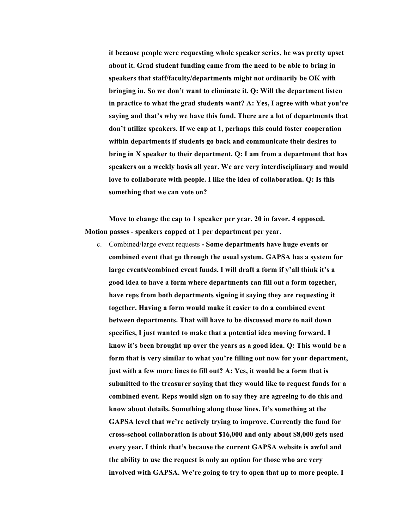**it because people were requesting whole speaker series, he was pretty upset about it. Grad student funding came from the need to be able to bring in speakers that staff/faculty/departments might not ordinarily be OK with bringing in. So we don't want to eliminate it. Q: Will the department listen in practice to what the grad students want? A: Yes, I agree with what you're saying and that's why we have this fund. There are a lot of departments that don't utilize speakers. If we cap at 1, perhaps this could foster cooperation within departments if students go back and communicate their desires to bring in X speaker to their department. Q: I am from a department that has speakers on a weekly basis all year. We are very interdisciplinary and would love to collaborate with people. I like the idea of collaboration. Q: Is this something that we can vote on?** 

**Move to change the cap to 1 speaker per year. 20 in favor. 4 opposed. Motion passes - speakers capped at 1 per department per year.**

c. Combined/large event requests **- Some departments have huge events or combined event that go through the usual system. GAPSA has a system for large events/combined event funds. I will draft a form if y'all think it's a good idea to have a form where departments can fill out a form together, have reps from both departments signing it saying they are requesting it together. Having a form would make it easier to do a combined event between departments. That will have to be discussed more to nail down specifics, I just wanted to make that a potential idea moving forward. I know it's been brought up over the years as a good idea. Q: This would be a form that is very similar to what you're filling out now for your department, just with a few more lines to fill out? A: Yes, it would be a form that is submitted to the treasurer saying that they would like to request funds for a combined event. Reps would sign on to say they are agreeing to do this and know about details. Something along those lines. It's something at the GAPSA level that we're actively trying to improve. Currently the fund for cross-school collaboration is about \$16,000 and only about \$8,000 gets used every year. I think that's because the current GAPSA website is awful and the ability to use the request is only an option for those who are very involved with GAPSA. We're going to try to open that up to more people. I**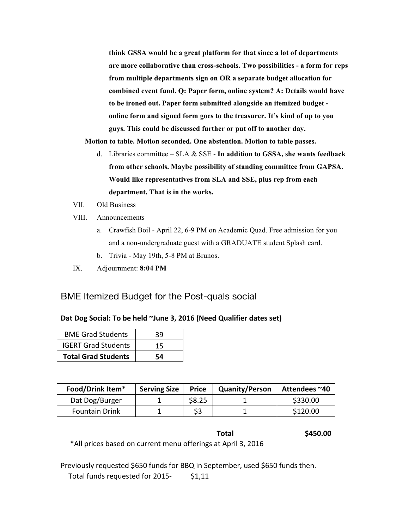**think GSSA would be a great platform for that since a lot of departments are more collaborative than cross-schools. Two possibilities - a form for reps from multiple departments sign on OR a separate budget allocation for combined event fund. Q: Paper form, online system? A: Details would have to be ironed out. Paper form submitted alongside an itemized budget online form and signed form goes to the treasurer. It's kind of up to you guys. This could be discussed further or put off to another day.** 

**Motion to table. Motion seconded. One abstention. Motion to table passes.** 

- d. Libraries committee SLA & SSE **In addition to GSSA, she wants feedback from other schools. Maybe possibility of standing committee from GAPSA. Would like representatives from SLA and SSE, plus rep from each department. That is in the works.**
- VII. Old Business
- VIII. Announcements
	- a. Crawfish Boil April 22, 6-9 PM on Academic Quad. Free admission for you and a non-undergraduate guest with a GRADUATE student Splash card.
	- b. Trivia May 19th, 5-8 PM at Brunos.
- IX. Adjournment: **8:04 PM**

# BME Itemized Budget for the Post-quals social

## Dat Dog Social: To be held ~June 3, 2016 (Need Qualifier dates set)

| <b>BME Grad Students</b>   | 39 |
|----------------------------|----|
| <b>IGERT Grad Students</b> | 15 |
| <b>Total Grad Students</b> | 54 |

| Food/Drink Item*      | <b>Serving Size</b> | <b>Price</b> | <b>Quanity/Person</b> | Attendees ~40 |
|-----------------------|---------------------|--------------|-----------------------|---------------|
| Dat Dog/Burger        |                     | \$8.25       |                       | \$330.00      |
| <b>Fountain Drink</b> |                     |              |                       | \$120.00      |

## **Total \$450.00**

\*All prices based on current menu offerings at April 3, 2016

Previously requested \$650 funds for BBQ in September, used \$650 funds then. Total funds requested for  $2015 - 51,11$